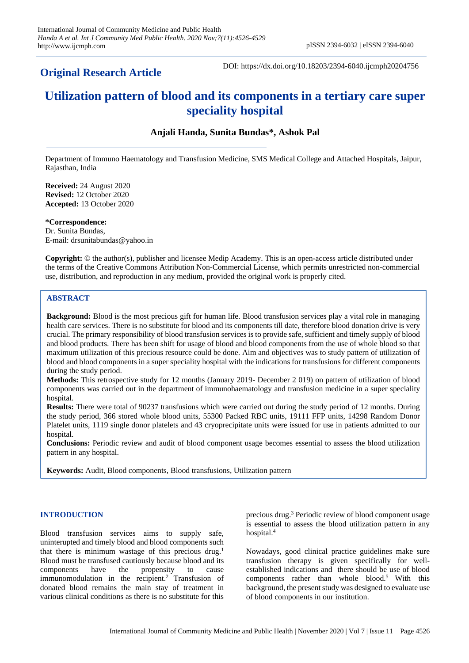# **Original Research Article**

DOI: https://dx.doi.org/10.18203/2394-6040.ijcmph20204756

# **Utilization pattern of blood and its components in a tertiary care super speciality hospital**

# **Anjali Handa, Sunita Bundas\*, Ashok Pal**

Department of Immuno Haematology and Transfusion Medicine, SMS Medical College and Attached Hospitals, Jaipur, Rajasthan, India

**Received:** 24 August 2020 **Revised:** 12 October 2020 **Accepted:** 13 October 2020

**\*Correspondence:** Dr. Sunita Bundas, E-mail: drsunitabundas@yahoo.in

**Copyright:** © the author(s), publisher and licensee Medip Academy. This is an open-access article distributed under the terms of the Creative Commons Attribution Non-Commercial License, which permits unrestricted non-commercial use, distribution, and reproduction in any medium, provided the original work is properly cited.

# **ABSTRACT**

**Background:** Blood is the most precious gift for human life. Blood transfusion services play a vital role in managing health care services. There is no substitute for blood and its components till date, therefore blood donation drive is very crucial. The primary responsibility of blood transfusion services is to provide safe, sufficient and timely supply of blood and blood products. There has been shift for usage of blood and blood components from the use of whole blood so that maximum utilization of this precious resource could be done. Aim and objectives was to study pattern of utilization of blood and blood components in a super speciality hospital with the indications for transfusions for different components during the study period.

**Methods:** This retrospective study for 12 months (January 2019- December 2 019) on pattern of utilization of blood components was carried out in the department of immunohaematology and transfusion medicine in a super speciality hospital.

**Results:** There were total of 90237 transfusions which were carried out during the study period of 12 months. During the study period, 366 stored whole blood units, 55300 Packed RBC units, 19111 FFP units, 14298 Random Donor Platelet units, 1119 single donor platelets and 43 cryoprecipitate units were issued for use in patients admitted to our hospital.

**Conclusions:** Periodic review and audit of blood component usage becomes essential to assess the blood utilization pattern in any hospital.

**Keywords:** Audit, Blood components, Blood transfusions, Utilization pattern

### **INTRODUCTION**

Blood transfusion services aims to supply safe, uninterupted and timely blood and blood components such that there is minimum wastage of this precious drug.<sup>1</sup> Blood must be transfused cautiously because blood and its components have the propensity to cause immunomodulation in the recipient.<sup>2</sup> Transfusion of donated blood remains the main stay of treatment in various clinical conditions as there is no substitute for this

precious drug.<sup>3</sup> Periodic review of blood component usage is essential to assess the blood utilization pattern in any hospital.<sup>4</sup>

Nowadays, good clinical practice guidelines make sure transfusion therapy is given specifically for wellestablished indications and there should be use of blood components rather than whole blood.<sup>5</sup> With this background, the present study was designed to evaluate use of blood components in our institution.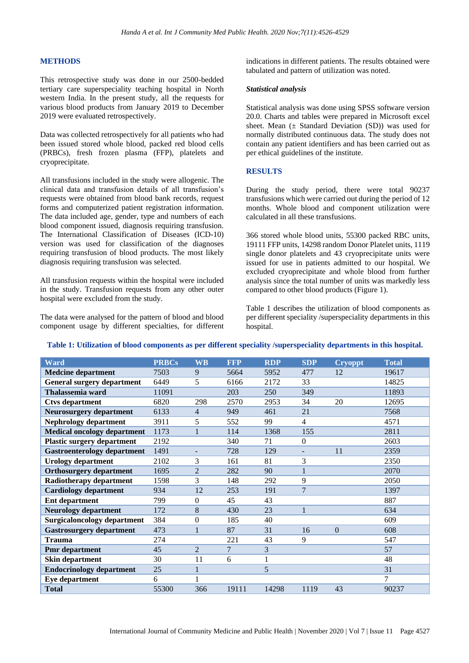#### **METHODS**

This retrospective study was done in our 2500-bedded tertiary care superspeciality teaching hospital in North western India. In the present study, all the requests for various blood products from January 2019 to December 2019 were evaluated retrospectively.

Data was collected retrospectively for all patients who had been issued stored whole blood, packed red blood cells (PRBCs), fresh frozen plasma (FFP), platelets and cryoprecipitate.

All transfusions included in the study were allogenic. The clinical data and transfusion details of all transfusion's requests were obtained from blood bank records, request forms and computerized patient registration information. The data included age, gender, type and numbers of each blood component issued, diagnosis requiring transfusion. The International Classification of Diseases (ICD-10) version was used for classification of the diagnoses requiring transfusion of blood products. The most likely diagnosis requiring transfusion was selected.

All transfusion requests within the hospital were included in the study. Transfusion requests from any other outer hospital were excluded from the study.

The data were analysed for the pattern of blood and blood component usage by different specialties, for different indications in different patients. The results obtained were tabulated and pattern of utilization was noted.

#### *Statistical analysis*

Statistical analysis was done using SPSS software version 20.0. Charts and tables were prepared in Microsoft excel sheet. Mean  $(\pm$  Standard Deviation (SD)) was used for normally distributed continuous data. The study does not contain any patient identifiers and has been carried out as per ethical guidelines of the institute.

#### **RESULTS**

During the study period, there were total 90237 transfusions which were carried out during the period of 12 months. Whole blood and component utilization were calculated in all these transfusions.

366 stored whole blood units, 55300 packed RBC units, 19111 FFP units, 14298 random Donor Platelet units, 1119 single donor platelets and 43 cryoprecipitate units were issued for use in patients admitted to our hospital. We excluded cryoprecipitate and whole blood from further analysis since the total number of units was markedly less compared to other blood products (Figure 1).

Table 1 describes the utilization of blood components as per different speciality /superspeciality departments in this hospital.

| <b>Ward</b>                        | <b>PRBCs</b> | <b>WB</b>        | <b>FFP</b> | <b>RDP</b> | <b>SDP</b>     | <b>Cryoppt</b> | <b>Total</b> |
|------------------------------------|--------------|------------------|------------|------------|----------------|----------------|--------------|
| <b>Medcine department</b>          | 7503         | 9                | 5664       | 5952       | 477            | 12             | 19617        |
| <b>General surgery department</b>  | 6449         | 5                | 6166       | 2172       | 33             |                | 14825        |
| Thalassemia ward                   | 11091        |                  | 203        | 250        | 349            |                | 11893        |
| <b>Ctvs department</b>             | 6820         | 298              | 2570       | 2953       | 34             | 20             | 12695        |
| <b>Neurosurgery department</b>     | 6133         | $\overline{4}$   | 949        | 461        | 21             |                | 7568         |
| <b>Nephrology department</b>       | 3911         | 5                | 552        | 99         | $\overline{4}$ |                | 4571         |
| <b>Medical oncology department</b> | 1173         | $\mathbf{1}$     | 114        | 1368       | 155            |                | 2811         |
| <b>Plastic surgery department</b>  | 2192         |                  | 340        | 71         | $\Omega$       |                | 2603         |
| <b>Gastroenterology department</b> | 1491         |                  | 728        | 129        |                | 11             | 2359         |
| <b>Urology department</b>          | 2102         | 3                | 161        | 81         | 3              |                | 2350         |
| <b>Orthosurgery department</b>     | 1695         | $\overline{2}$   | 282        | 90         | 1              |                | 2070         |
| Radiotherapy department            | 1598         | 3                | 148        | 292        | 9              |                | 2050         |
| <b>Cardiology department</b>       | 934          | 12               | 253        | 191        | $\overline{7}$ |                | 1397         |
| <b>Ent department</b>              | 799          | $\Omega$         | 45         | 43         |                |                | 887          |
| <b>Neurology department</b>        | 172          | 8                | 430        | 23         | 1              |                | 634          |
| <b>Surgicaloncology department</b> | 384          | $\boldsymbol{0}$ | 185        | 40         |                |                | 609          |
| <b>Gastrosurgery department</b>    | 473          | 1                | 87         | 31         | 16             | $\Omega$       | 608          |
| <b>Trauma</b>                      | 274          |                  | 221        | 43         | 9              |                | 547          |
| <b>Pmr</b> department              | 45           | $\overline{2}$   | 7          | 3          |                |                | 57           |
| <b>Skin department</b>             | 30           | 11               | 6          | 1          |                |                | 48           |
| <b>Endocrinology department</b>    | 25           | 1                |            | 5          |                |                | 31           |
| Eye department                     | 6            |                  |            |            |                |                | 7            |
| <b>Total</b>                       | 55300        | 366              | 19111      | 14298      | 1119           | 43             | 90237        |

# **Table 1: Utilization of blood components as per different speciality /superspeciality departments in this hospital.**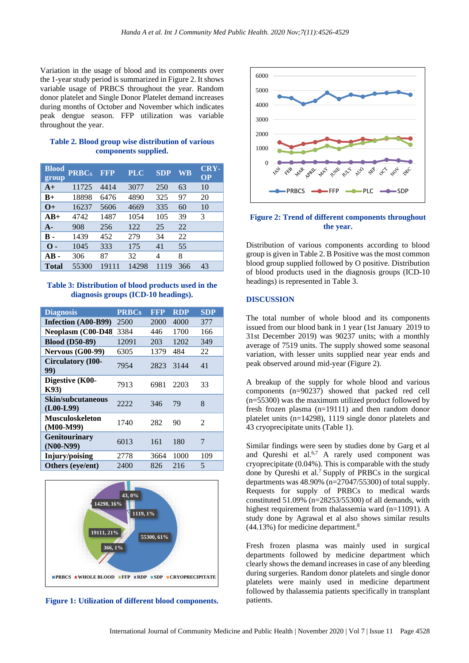Variation in the usage of blood and its components over the 1-year study period is summarized in Figure 2. It shows variable usage of PRBCS throughout the year. Random donor platelet and Single Donor Platelet demand increases during months of October and November which indicates peak dengue season. FFP utilization was variable throughout the year.

#### **Table 2. Blood group wise distribution of various components supplied.**

| <b>Blood</b><br>group | <b>PRBCs</b> | <b>FFP</b> | <b>PLC</b> | <b>SDP</b> | WB  | <b>CRY-</b><br><b>OP</b> |
|-----------------------|--------------|------------|------------|------------|-----|--------------------------|
| $A+$                  | 11725        | 4414       | 3077       | 250        | 63  | 10                       |
| $B+$                  | 18898        | 6476       | 4890       | 325        | 97  | 20                       |
| $O+$                  | 16237        | 5606       | 4669       | 335        | 60  | 10                       |
| $AB+$                 | 4742         | 1487       | 1054       | 105        | 39  | 3                        |
| $A-$                  | 908          | 256        | 122        | 25         | 22  |                          |
| в.                    | 1439         | 452        | 279        | 34         | 22  |                          |
| $\Omega$ -            | 1045         | 333        | 175        | 41         | 55  |                          |
| $AB -$                | 306          | 87         | 32         | 4          | 8   |                          |
| Total                 | 55300        | 19111      | 14298      | 1119       | 366 | 43                       |

**Table 3: Distribution of blood products used in the diagnosis groups (ICD-10 headings).**

| <b>Diagnosis</b>                      | <b>PRBCs</b> | <b>FFP</b> | <b>RDP</b> | <b>SDP</b> |
|---------------------------------------|--------------|------------|------------|------------|
| Infection (A00-B99)                   | 2500         | 2000       | 4000       | 377        |
| Neoplasm (C00-D48)                    | 3384         | 446        | 1700       | 166        |
| <b>Blood (D50-89)</b>                 | 12091        | 203        | 1202       | 349        |
| <b>Nervous (G00-99)</b>               | 6305         | 1379       | 484        | 22         |
| <b>Circulatory (I00-</b><br>99)       | 7954         | 2823       | 3144       | 41         |
| Digestive (K00-<br>K93)               | 7913         | 6981       | 2203       | 33         |
| Skin/subcutaneous<br>$(L00-L99)$      | 2222         | 346        | 79         | 8          |
| <b>Musculoskeleton</b><br>$(M00-M99)$ | 1740         | 282        | 90         | 2          |
| <b>Genitourinary</b><br>$(NO0-N99)$   | 6013         | 161        | 180        | 7          |
| Injury/poising                        | 2778         | 3664       | 1000       | 109        |
| Others (eye/ent)                      | 2400         | 826        | 216        | 5          |



**Figure 1: Utilization of different blood components.**



#### **Figure 2: Trend of different components throughout the year.**

Distribution of various components according to blood group is given in Table 2. B Positive was the most common blood group supplied followed by O positive. Distribution of blood products used in the diagnosis groups (ICD-10 headings) is represented in Table 3.

#### **DISCUSSION**

The total number of whole blood and its components issued from our blood bank in 1 year (1st January 2019 to 31st December 2019) was 90237 units; with a monthly average of 7519 units. The supply showed some seasonal variation, with lesser units supplied near year ends and peak observed around mid-year (Figure 2).

A breakup of the supply for whole blood and various components (n=90237) showed that packed red cell (n=55300) was the maximum utilized product followed by fresh frozen plasma (n=19111) and then random donor platelet units (n=14298), 1119 single donor platelets and 43 cryoprecipitate units (Table 1).

Similar findings were seen by studies done by Garg et al and Qureshi et al. $6.7$  A rarely used component was cryoprecipitate (0.04%). This is comparable with the study done by Qureshi et al.<sup>7</sup> Supply of PRBCs in the surgical departments was 48.90% (n=27047/55300) of total supply. Requests for supply of PRBCs to medical wards constituted 51.09% (n=28253/55300) of all demands, with highest requirement from thalassemia ward (n=11091). A study done by Agrawal et al also shows similar results (44.13%) for medicine department.<sup>8</sup>

Fresh frozen plasma was mainly used in surgical departments followed by medicine department which clearly shows the demand increases in case of any bleeding during surgeries. Random donor platelets and single donor platelets were mainly used in medicine department followed by thalassemia patients specifically in transplant patients.